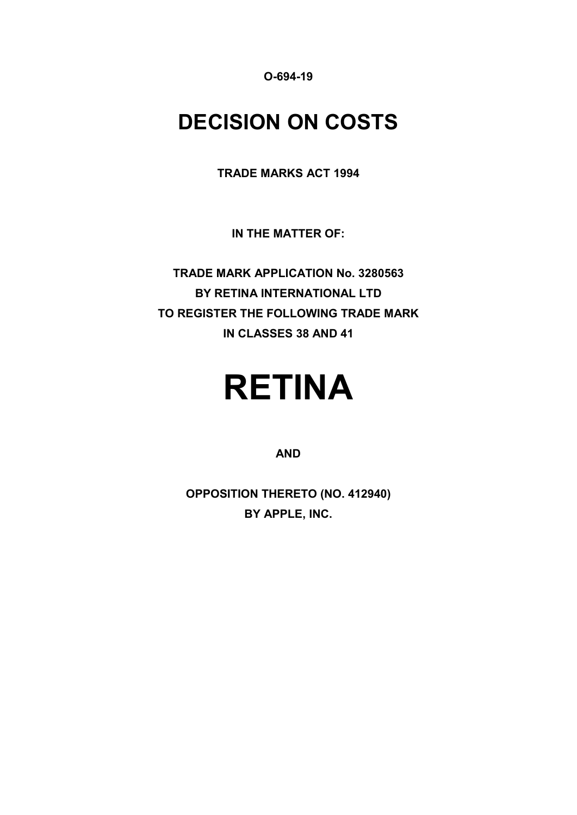**O-694-19**

# **DECISION ON COSTS**

**TRADE MARKS ACT 1994**

**IN THE MATTER OF:**

**TRADE MARK APPLICATION No. 3280563 BY RETINA INTERNATIONAL LTD TO REGISTER THE FOLLOWING TRADE MARK IN CLASSES 38 AND 41**

# **RETINA**

#### **AND**

**OPPOSITION THERETO (NO. 412940) BY APPLE, INC.**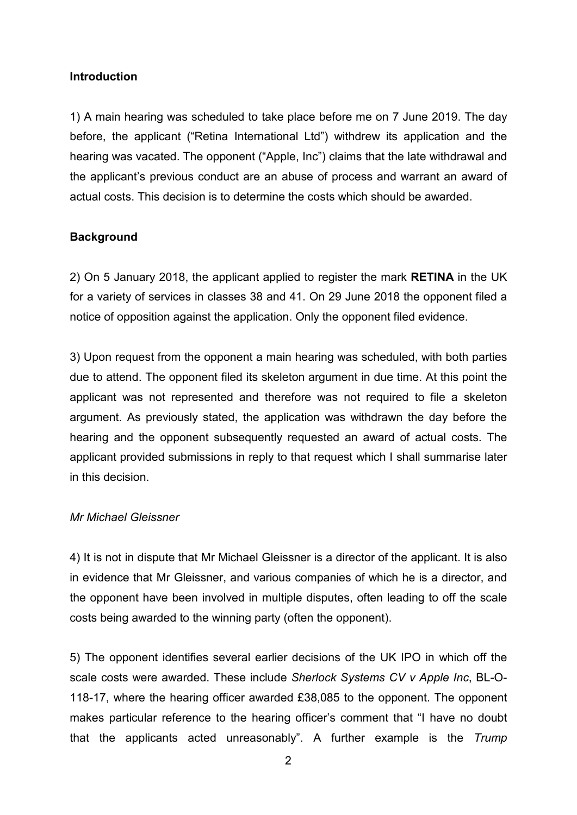#### **Introduction**

1) A main hearing was scheduled to take place before me on 7 June 2019. The day before, the applicant ("Retina International Ltd") withdrew its application and the hearing was vacated. The opponent ("Apple, Inc") claims that the late withdrawal and the applicant's previous conduct are an abuse of process and warrant an award of actual costs. This decision is to determine the costs which should be awarded.

#### **Background**

2) On 5 January 2018, the applicant applied to register the mark **RETINA** in the UK for a variety of services in classes 38 and 41. On 29 June 2018 the opponent filed a notice of opposition against the application. Only the opponent filed evidence.

3) Upon request from the opponent a main hearing was scheduled, with both parties due to attend. The opponent filed its skeleton argument in due time. At this point the applicant was not represented and therefore was not required to file a skeleton argument. As previously stated, the application was withdrawn the day before the hearing and the opponent subsequently requested an award of actual costs. The applicant provided submissions in reply to that request which I shall summarise later in this decision.

#### *Mr Michael Gleissner*

4) It is not in dispute that Mr Michael Gleissner is a director of the applicant. It is also in evidence that Mr Gleissner, and various companies of which he is a director, and the opponent have been involved in multiple disputes, often leading to off the scale costs being awarded to the winning party (often the opponent).

5) The opponent identifies several earlier decisions of the UK IPO in which off the scale costs were awarded. These include *Sherlock Systems CV v Apple Inc*, BL-O-118-17, where the hearing officer awarded £38,085 to the opponent. The opponent makes particular reference to the hearing officer's comment that "I have no doubt that the applicants acted unreasonably". A further example is the *Trump*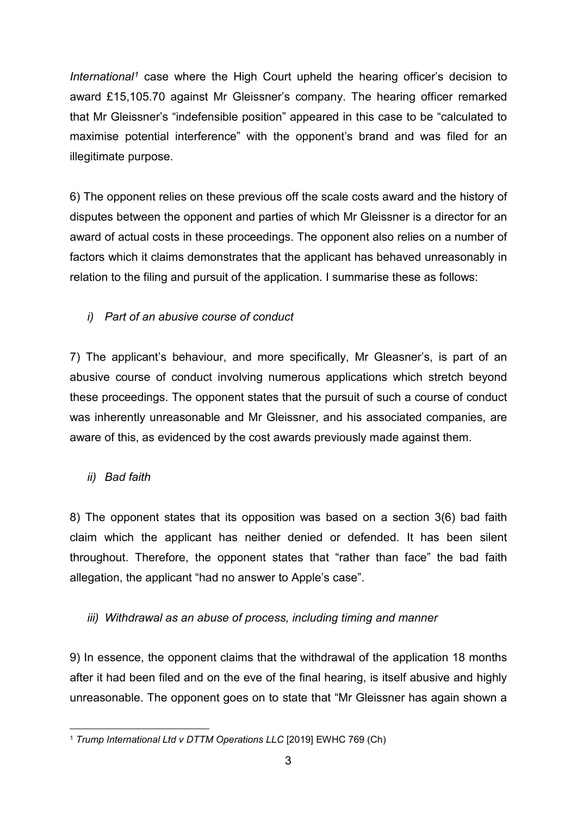*International[1](#page-2-0)* case where the High Court upheld the hearing officer's decision to award £15,105.70 against Mr Gleissner's company. The hearing officer remarked that Mr Gleissner's "indefensible position" appeared in this case to be "calculated to maximise potential interference" with the opponent's brand and was filed for an illegitimate purpose.

6) The opponent relies on these previous off the scale costs award and the history of disputes between the opponent and parties of which Mr Gleissner is a director for an award of actual costs in these proceedings. The opponent also relies on a number of factors which it claims demonstrates that the applicant has behaved unreasonably in relation to the filing and pursuit of the application. I summarise these as follows:

# *i) Part of an abusive course of conduct*

7) The applicant's behaviour, and more specifically, Mr Gleasner's, is part of an abusive course of conduct involving numerous applications which stretch beyond these proceedings. The opponent states that the pursuit of such a course of conduct was inherently unreasonable and Mr Gleissner, and his associated companies, are aware of this, as evidenced by the cost awards previously made against them.

# *ii) Bad faith*

8) The opponent states that its opposition was based on a section 3(6) bad faith claim which the applicant has neither denied or defended. It has been silent throughout. Therefore, the opponent states that "rather than face" the bad faith allegation, the applicant "had no answer to Apple's case".

# *iii) Withdrawal as an abuse of process, including timing and manner*

9) In essence, the opponent claims that the withdrawal of the application 18 months after it had been filed and on the eve of the final hearing, is itself abusive and highly unreasonable. The opponent goes on to state that "Mr Gleissner has again shown a

<span id="page-2-0"></span> <sup>1</sup> *Trump International Ltd v DTTM Operations LLC* [2019] EWHC 769 (Ch)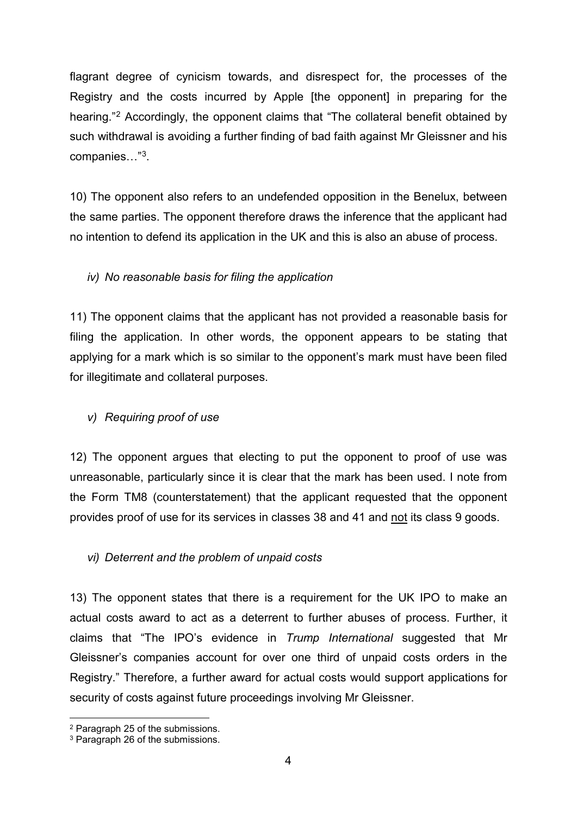flagrant degree of cynicism towards, and disrespect for, the processes of the Registry and the costs incurred by Apple [the opponent] in preparing for the hearing."[2](#page-3-0) Accordingly, the opponent claims that "The collateral benefit obtained by such withdrawal is avoiding a further finding of bad faith against Mr Gleissner and his companies…"[3.](#page-3-1)

10) The opponent also refers to an undefended opposition in the Benelux, between the same parties. The opponent therefore draws the inference that the applicant had no intention to defend its application in the UK and this is also an abuse of process.

### *iv) No reasonable basis for filing the application*

11) The opponent claims that the applicant has not provided a reasonable basis for filing the application. In other words, the opponent appears to be stating that applying for a mark which is so similar to the opponent's mark must have been filed for illegitimate and collateral purposes.

#### *v) Requiring proof of use*

12) The opponent argues that electing to put the opponent to proof of use was unreasonable, particularly since it is clear that the mark has been used. I note from the Form TM8 (counterstatement) that the applicant requested that the opponent provides proof of use for its services in classes 38 and 41 and not its class 9 goods.

#### *vi) Deterrent and the problem of unpaid costs*

13) The opponent states that there is a requirement for the UK IPO to make an actual costs award to act as a deterrent to further abuses of process. Further, it claims that "The IPO's evidence in *Trump International* suggested that Mr Gleissner's companies account for over one third of unpaid costs orders in the Registry." Therefore, a further award for actual costs would support applications for security of costs against future proceedings involving Mr Gleissner.

<span id="page-3-0"></span> <sup>2</sup> Paragraph 25 of the submissions.

<span id="page-3-1"></span><sup>3</sup> Paragraph 26 of the submissions.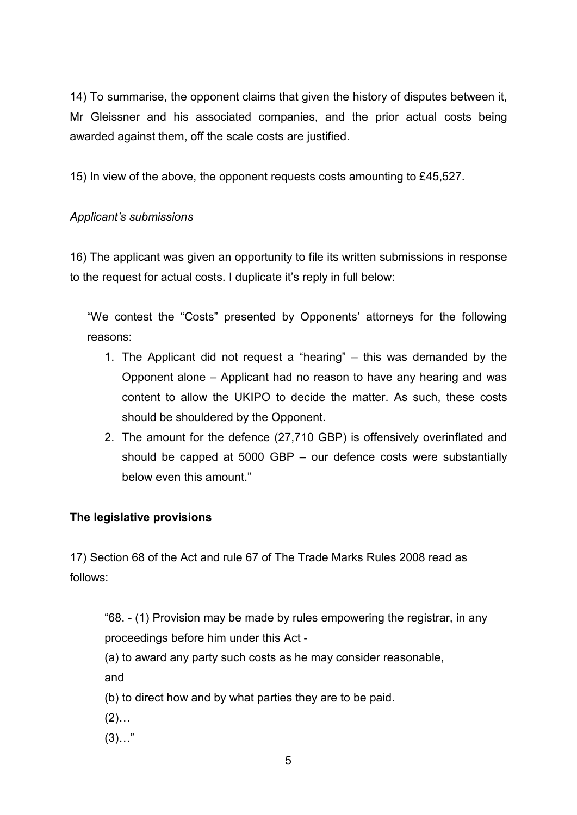14) To summarise, the opponent claims that given the history of disputes between it, Mr Gleissner and his associated companies, and the prior actual costs being awarded against them, off the scale costs are justified.

15) In view of the above, the opponent requests costs amounting to £45,527.

### *Applicant's submissions*

16) The applicant was given an opportunity to file its written submissions in response to the request for actual costs. I duplicate it's reply in full below:

"We contest the "Costs" presented by Opponents' attorneys for the following reasons:

- 1. The Applicant did not request a "hearing" this was demanded by the Opponent alone – Applicant had no reason to have any hearing and was content to allow the UKIPO to decide the matter. As such, these costs should be shouldered by the Opponent.
- 2. The amount for the defence (27,710 GBP) is offensively overinflated and should be capped at 5000 GBP – our defence costs were substantially below even this amount."

# **The legislative provisions**

17) Section 68 of the Act and rule 67 of The Trade Marks Rules 2008 read as follows:

"68. - (1) Provision may be made by rules empowering the registrar, in any proceedings before him under this Act -

(a) to award any party such costs as he may consider reasonable, and

(b) to direct how and by what parties they are to be paid.

- $(2)$ ...
- $(3)$ …"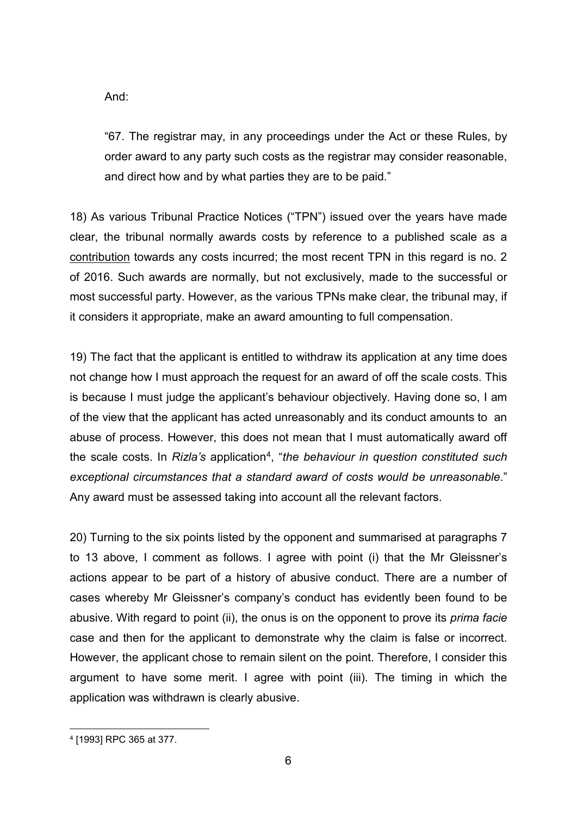And:

"67. The registrar may, in any proceedings under the Act or these Rules, by order award to any party such costs as the registrar may consider reasonable, and direct how and by what parties they are to be paid."

18) As various Tribunal Practice Notices ("TPN") issued over the years have made clear, the tribunal normally awards costs by reference to a published scale as a contribution towards any costs incurred; the most recent TPN in this regard is no. 2 of 2016. Such awards are normally, but not exclusively, made to the successful or most successful party. However, as the various TPNs make clear, the tribunal may, if it considers it appropriate, make an award amounting to full compensation.

19) The fact that the applicant is entitled to withdraw its application at any time does not change how I must approach the request for an award of off the scale costs. This is because I must judge the applicant's behaviour objectively. Having done so, I am of the view that the applicant has acted unreasonably and its conduct amounts to an abuse of process. However, this does not mean that I must automatically award off the scale costs. In *Rizla's* application[4,](#page-5-0) "*the behaviour in question constituted such exceptional circumstances that a standard award of costs would be unreasonable*." Any award must be assessed taking into account all the relevant factors.

20) Turning to the six points listed by the opponent and summarised at paragraphs 7 to 13 above, I comment as follows. I agree with point (i) that the Mr Gleissner's actions appear to be part of a history of abusive conduct. There are a number of cases whereby Mr Gleissner's company's conduct has evidently been found to be abusive. With regard to point (ii), the onus is on the opponent to prove its *prima facie* case and then for the applicant to demonstrate why the claim is false or incorrect. However, the applicant chose to remain silent on the point. Therefore, I consider this argument to have some merit. I agree with point (iii). The timing in which the application was withdrawn is clearly abusive.

<span id="page-5-0"></span> <sup>4</sup> [1993] RPC 365 at 377.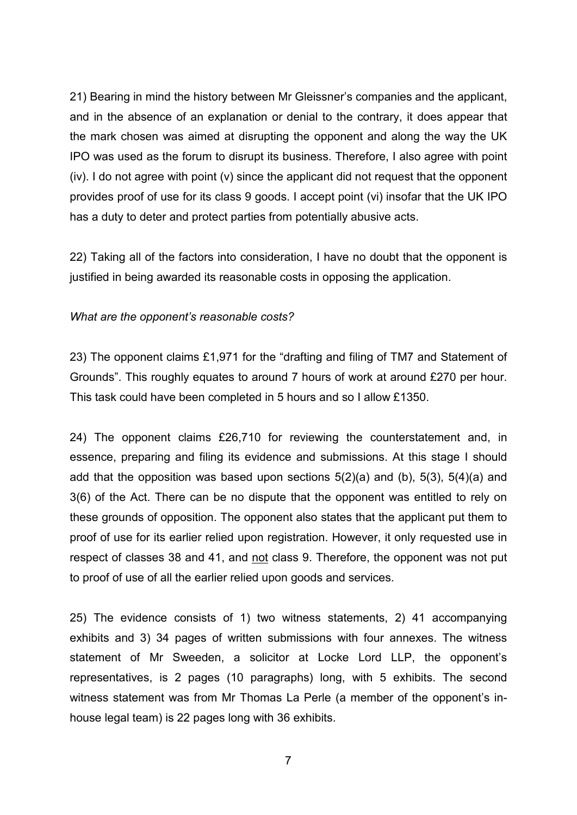21) Bearing in mind the history between Mr Gleissner's companies and the applicant, and in the absence of an explanation or denial to the contrary, it does appear that the mark chosen was aimed at disrupting the opponent and along the way the UK IPO was used as the forum to disrupt its business. Therefore, I also agree with point (iv). I do not agree with point (v) since the applicant did not request that the opponent provides proof of use for its class 9 goods. I accept point (vi) insofar that the UK IPO has a duty to deter and protect parties from potentially abusive acts.

22) Taking all of the factors into consideration, I have no doubt that the opponent is justified in being awarded its reasonable costs in opposing the application.

#### *What are the opponent's reasonable costs?*

23) The opponent claims £1,971 for the "drafting and filing of TM7 and Statement of Grounds". This roughly equates to around 7 hours of work at around £270 per hour. This task could have been completed in 5 hours and so I allow £1350.

24) The opponent claims £26,710 for reviewing the counterstatement and, in essence, preparing and filing its evidence and submissions. At this stage I should add that the opposition was based upon sections  $5(2)(a)$  and  $(b)$ ,  $5(3)$ ,  $5(4)(a)$  and 3(6) of the Act. There can be no dispute that the opponent was entitled to rely on these grounds of opposition. The opponent also states that the applicant put them to proof of use for its earlier relied upon registration. However, it only requested use in respect of classes 38 and 41, and not class 9. Therefore, the opponent was not put to proof of use of all the earlier relied upon goods and services.

25) The evidence consists of 1) two witness statements, 2) 41 accompanying exhibits and 3) 34 pages of written submissions with four annexes. The witness statement of Mr Sweeden, a solicitor at Locke Lord LLP, the opponent's representatives, is 2 pages (10 paragraphs) long, with 5 exhibits. The second witness statement was from Mr Thomas La Perle (a member of the opponent's inhouse legal team) is 22 pages long with 36 exhibits.

7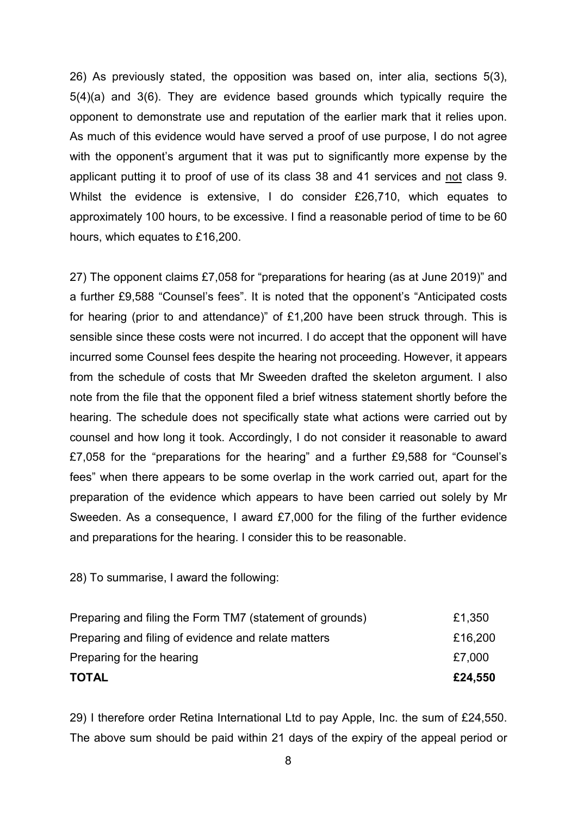26) As previously stated, the opposition was based on, inter alia, sections 5(3), 5(4)(a) and 3(6). They are evidence based grounds which typically require the opponent to demonstrate use and reputation of the earlier mark that it relies upon. As much of this evidence would have served a proof of use purpose, I do not agree with the opponent's argument that it was put to significantly more expense by the applicant putting it to proof of use of its class 38 and 41 services and not class 9. Whilst the evidence is extensive, I do consider £26,710, which equates to approximately 100 hours, to be excessive. I find a reasonable period of time to be 60 hours, which equates to £16,200.

27) The opponent claims £7,058 for "preparations for hearing (as at June 2019)" and a further £9,588 "Counsel's fees". It is noted that the opponent's "Anticipated costs for hearing (prior to and attendance)" of £1,200 have been struck through. This is sensible since these costs were not incurred. I do accept that the opponent will have incurred some Counsel fees despite the hearing not proceeding. However, it appears from the schedule of costs that Mr Sweeden drafted the skeleton argument. I also note from the file that the opponent filed a brief witness statement shortly before the hearing. The schedule does not specifically state what actions were carried out by counsel and how long it took. Accordingly, I do not consider it reasonable to award £7,058 for the "preparations for the hearing" and a further £9,588 for "Counsel's fees" when there appears to be some overlap in the work carried out, apart for the preparation of the evidence which appears to have been carried out solely by Mr Sweeden. As a consequence, I award £7,000 for the filing of the further evidence and preparations for the hearing. I consider this to be reasonable.

28) To summarise, I award the following:

| <b>TOTAL</b>                                             | £24,550 |
|----------------------------------------------------------|---------|
| Preparing for the hearing                                | £7,000  |
| Preparing and filing of evidence and relate matters      | £16,200 |
| Preparing and filing the Form TM7 (statement of grounds) | £1,350  |

29) I therefore order Retina International Ltd to pay Apple, Inc. the sum of £24,550. The above sum should be paid within 21 days of the expiry of the appeal period or